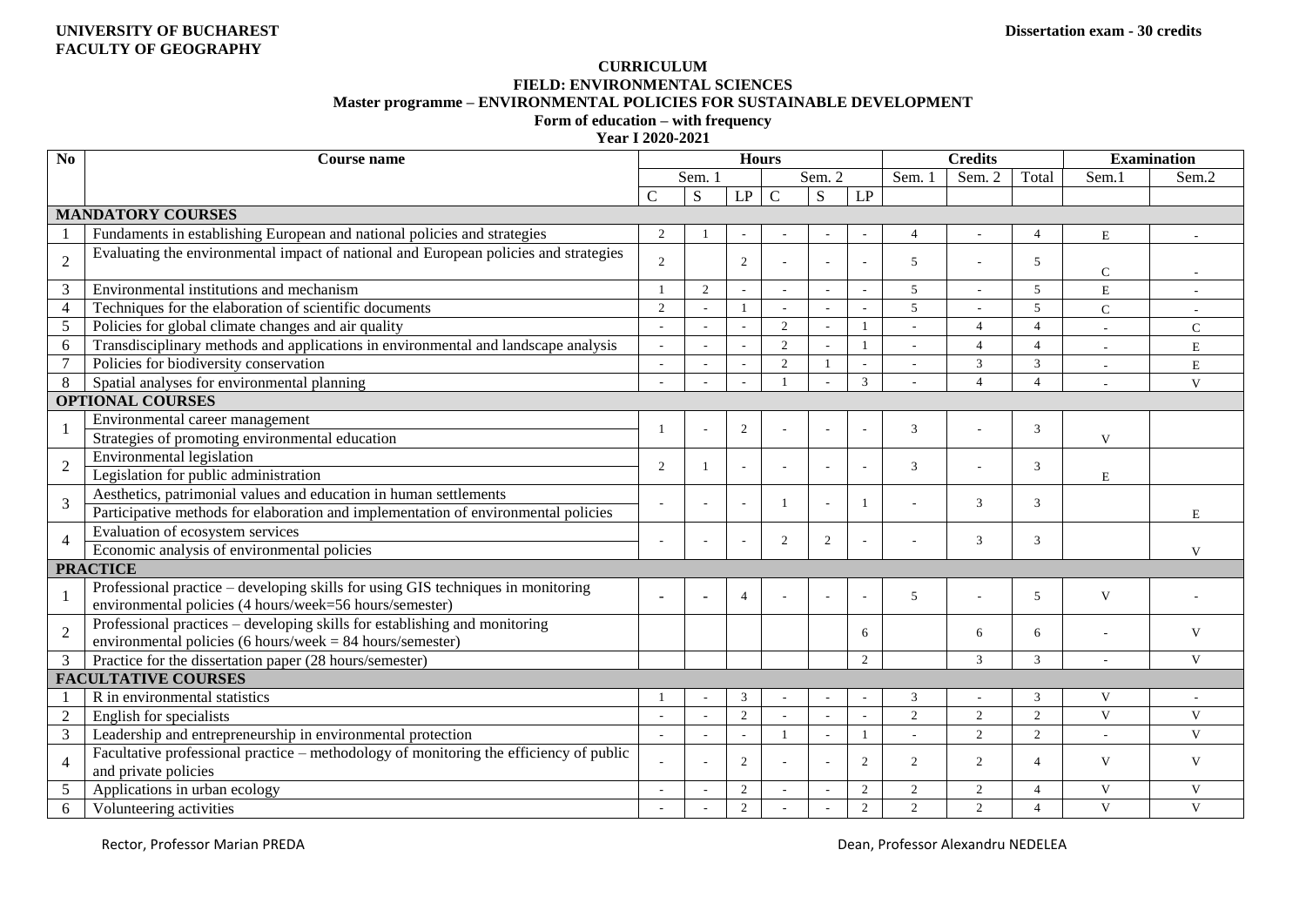## **CURRICULUM FIELD: ENVIRONMENTAL SCIENCES Master programme – ENVIRONMENTAL POLICIES FOR SUSTAINABLE DEVELOPMENT Form of education – with frequency**

**Year I 2020-2021**

| N <sub>o</sub>             | <b>Course name</b>                                                                                                                          | <b>Hours</b>             |                |                          |                |                          |                |                | <b>Credits</b> |                         | <b>Examination</b> |              |
|----------------------------|---------------------------------------------------------------------------------------------------------------------------------------------|--------------------------|----------------|--------------------------|----------------|--------------------------|----------------|----------------|----------------|-------------------------|--------------------|--------------|
|                            |                                                                                                                                             | Sem. 1                   |                |                          | Sem. 2         |                          | Sem.           | Sem. 2         | Total          | Sem.1                   | Sem <sub>2</sub>   |              |
|                            |                                                                                                                                             | $\mathcal{C}$            | S              | $\mathrm{L}\mathrm{P}$   | $\mathbf C$    | ${\bf S}$                | $\mathrm{LP}$  |                |                |                         |                    |              |
|                            | <b>MANDATORY COURSES</b>                                                                                                                    |                          |                |                          |                |                          |                |                |                |                         |                    |              |
|                            | Fundaments in establishing European and national policies and strategies                                                                    | 2                        |                |                          |                |                          |                | $\overline{4}$ |                | $\overline{4}$          | E                  |              |
| $\overline{2}$             | Evaluating the environmental impact of national and European policies and strategies                                                        | 2                        |                | 2                        |                |                          |                | 5              |                | -5                      | $\mathsf{C}$       |              |
| 3                          | Environmental institutions and mechanism                                                                                                    | $\mathbf{1}$             | $\overline{2}$ |                          |                |                          |                | 5              |                | 5                       | E                  |              |
| $\overline{4}$             | Techniques for the elaboration of scientific documents                                                                                      | 2                        |                | $\mathbf{1}$             | ÷              |                          | L,             | 5              |                | 5                       | $\mathbf C$        |              |
| 5                          | Policies for global climate changes and air quality                                                                                         |                          |                | $\overline{\phantom{a}}$ | 2              |                          |                |                | $\overline{4}$ | $\overline{\mathbf{A}}$ |                    | $\mathsf{C}$ |
| 6                          | Transdisciplinary methods and applications in environmental and landscape analysis                                                          | $\sim$                   |                |                          | 2              |                          | $\mathbf{1}$   |                | $\overline{4}$ | $\overline{4}$          | ٠                  | E            |
| $\overline{7}$             | Policies for biodiversity conservation                                                                                                      | $\overline{\phantom{a}}$ |                | $\overline{\phantom{a}}$ | $\overline{2}$ |                          |                |                | $\mathfrak{Z}$ | 3                       | ٠                  | E            |
| 8                          | Spatial analyses for environmental planning                                                                                                 |                          |                |                          |                |                          | $\mathfrak{Z}$ |                | $\overline{4}$ | $\overline{4}$          | ٠                  | V            |
|                            | <b>OPTIONAL COURSES</b>                                                                                                                     |                          |                |                          |                |                          |                |                |                |                         |                    |              |
| -1                         | Environmental career management                                                                                                             |                          |                | 2                        |                | $\overline{\phantom{a}}$ |                | 3              |                | 3                       |                    |              |
|                            | Strategies of promoting environmental education                                                                                             |                          |                |                          |                |                          |                |                |                |                         | $\mathbf{V}$       |              |
| $\overline{2}$             | Environmental legislation                                                                                                                   | 2                        | $\mathbf{1}$   |                          |                |                          |                | 3              |                | 3                       |                    |              |
|                            | Legislation for public administration                                                                                                       |                          |                |                          |                |                          |                |                |                |                         | E                  |              |
| $\mathfrak{Z}$             | Aesthetics, patrimonial values and education in human settlements                                                                           | $\overline{\phantom{a}}$ |                |                          |                | $\sim$                   |                |                | 3              | 3                       |                    |              |
|                            | Participative methods for elaboration and implementation of environmental policies                                                          |                          |                |                          |                |                          |                |                |                |                         |                    | E            |
| $\overline{4}$             | Evaluation of ecosystem services                                                                                                            |                          |                |                          | 2              | $\overline{2}$           |                |                | 3              | 3                       |                    |              |
|                            | Economic analysis of environmental policies                                                                                                 |                          |                |                          |                |                          |                |                |                |                         |                    | $\mathbf{V}$ |
| <b>PRACTICE</b>            |                                                                                                                                             |                          |                |                          |                |                          |                |                |                |                         |                    |              |
| -1                         | Professional practice – developing skills for using GIS techniques in monitoring<br>environmental policies (4 hours/week=56 hours/semester) | $\sim$                   |                | $\overline{4}$           |                |                          |                | 5              |                | 5                       | V                  |              |
| $\overline{2}$             | Professional practices – developing skills for establishing and monitoring<br>environmental policies (6 hours/week = $84$ hours/semester)   |                          |                |                          |                |                          | 6              |                | 6              | 6                       |                    | V            |
| 3                          | Practice for the dissertation paper (28 hours/semester)                                                                                     |                          |                |                          |                |                          | 2              |                | $\overline{3}$ | 3                       | ÷,                 | $\mathbf{V}$ |
| <b>FACULTATIVE COURSES</b> |                                                                                                                                             |                          |                |                          |                |                          |                |                |                |                         |                    |              |
|                            | R in environmental statistics                                                                                                               |                          |                | 3                        |                |                          |                | 3              |                | 3                       | $\mathbf{V}$       |              |
| $\overline{2}$             | English for specialists                                                                                                                     |                          |                | 2                        | $\overline{a}$ | $\overline{a}$           |                | $\overline{2}$ | $\overline{c}$ | 2                       | $\mathbf{V}$       | $\mathbf{V}$ |
| $\mathfrak{Z}$             | Leadership and entrepreneurship in environmental protection                                                                                 | $\sim$                   |                | $\overline{\phantom{a}}$ |                | $\overline{a}$           | $\overline{1}$ |                | $\overline{2}$ | 2                       | ÷,                 | $\mathbf{V}$ |
| $\overline{4}$             | Facultative professional practice – methodology of monitoring the efficiency of public<br>and private policies                              |                          |                | 2                        |                |                          | 2              | 2              | $\overline{2}$ | $\overline{4}$          | V                  | V            |
| 5                          | Applications in urban ecology                                                                                                               |                          |                | 2                        |                |                          | 2              | $\overline{c}$ | 2              | $\overline{4}$          | V                  | V            |
| 6                          | Volunteering activities                                                                                                                     |                          |                | 2                        |                |                          | $\overline{2}$ | 2              | $\overline{2}$ | $\overline{A}$          | V                  | V            |

Rector, Professor Marian PREDA Dean, Professor Alexandru NEDELEA